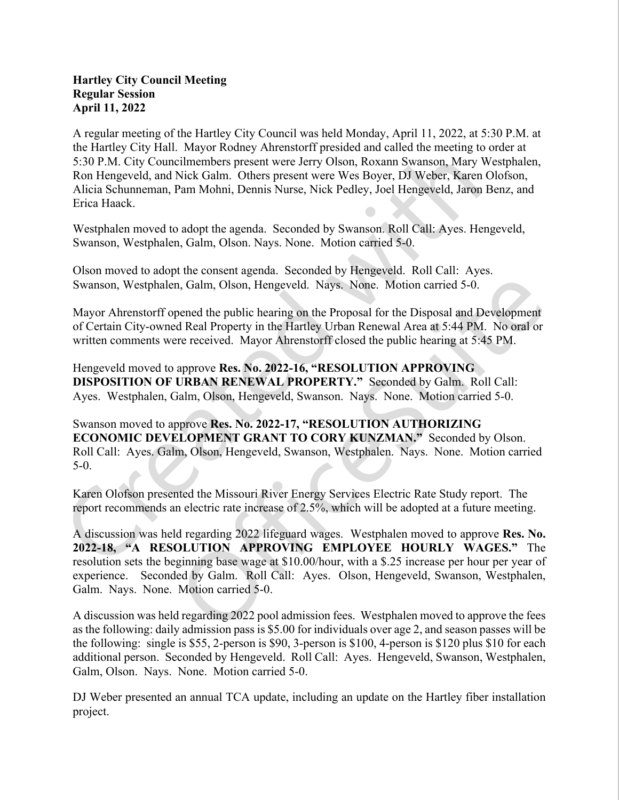## Hartley City Council Meeting Regular Session April 11, 2022

A regular meeting of the Hartley City Council was held Monday, April 11, 2022, at 5:30 P.M. at the Hartley City Hall. Mayor Rodney Ahrenstorff presided and called the meeting to order at 5:30 P.M. City Councilmembers present were Jerry Olson, Roxann Swanson, Mary Westphalen, Ron Hengeveld, and Nick Galm. Others present were Wes Boyer, DJ Weber, Karen Olofson, Alicia Schunneman, Pam Mohni, Dennis Nurse, Nick Pedley, Joel Hengeveld, Jaron Benz, and Erica Haack.

Westphalen moved to adopt the agenda. Seconded by Swanson. Roll Call: Ayes. Hengeveld, Swanson, Westphalen, Galm, Olson. Nays. None. Motion carried 5-0.

Olson moved to adopt the consent agenda. Seconded by Hengeveld. Roll Call: Ayes. Swanson, Westphalen, Galm, Olson, Hengeveld. Nays. None. Motion carried 5-0.

Mayor Ahrenstorff opened the public hearing on the Proposal for the Disposal and Development of Certain City-owned Real Property in the Hartley Urban Renewal Area at 5:44 PM. No oral or written comments were received. Mayor Ahrenstorff closed the public hearing at 5:45 PM.

Hengeveld moved to approve Res. No. 2022-16, "RESOLUTION APPROVING DISPOSITION OF URBAN RENEWAL PROPERTY." Seconded by Galm. Roll Call: Ayes. Westphalen, Galm, Olson, Hengeveld, Swanson. Nays. None. Motion carried 5-0.

Swanson moved to approve Res. No. 2022-17, "RESOLUTION AUTHORIZING ECONOMIC DEVELOPMENT GRANT TO CORY KUNZMAN." Seconded by Olson. Roll Call: Ayes. Galm, Olson, Hengeveld, Swanson, Westphalen. Nays. None. Motion carried 5-0.

Karen Olofson presented the Missouri River Energy Services Electric Rate Study report. The report recommends an electric rate increase of 2.5%, which will be adopted at a future meeting.<br>A discussion was held regarding 2022 lifeguard wages. Westphalen moved to approve Res. No.

2022-18, "A RESOLUTION APPROVING EMPLOYEE HOURLY WAGES." The resolution sets the beginning base wage at \$10.00/hour, with a \$.25 increase per hour per year of experience. Seconded by Galm. Roll Call: Ayes. Olson, Hengeveld, Swanson, Westphalen, Galm. Nays. None. Motion carried 5-0.

A discussion was held regarding 2022 pool admission fees. Westphalen moved to approve the fees as the following: daily admission pass is \$5.00 for individuals over age 2, and season passes will be the following: single is \$55, 2-person is \$90, 3-person is \$100, 4-person is \$120 plus \$10 for each additional person. Seconded by Hengeveld. Roll Call: Ayes. Hengeveld, Swanson, Westphalen, Galm, Olson. Nays. None. Motion carried 5-0.

DJ Weber presented an annual TCA update, including an update on the Hartley fiber installation project.